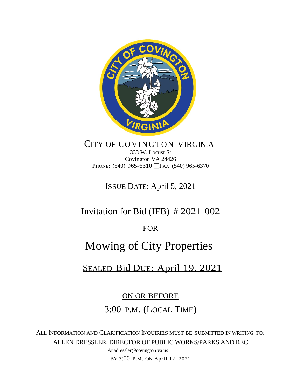

### CITY OF COVINGTON VIRGINIA 333 W. Locust St Covington VA 24426 PHONE: (540) 965-6310 FAX: (540) 965-6370

ISSUE DATE: April 5, 2021

# Invitation for Bid (IFB) # 2021-002

# FOR

# Mowing of City Properties

# SEALED Bid DUE: April 19, 2021

# ON OR BEFORE

# 3:00 P.M. (LOCAL TIME)

ALL INFORMATION AND CLARIFICATION INQUIRIES MUST BE SUBMITTED IN WRITING TO: ALLEN DRESSLER, DIRECTOR OF PUBLIC WORKS/PARKS AND REC

> At adressler@covington.va.us BY 3:00 P.M. ON April 12, 2021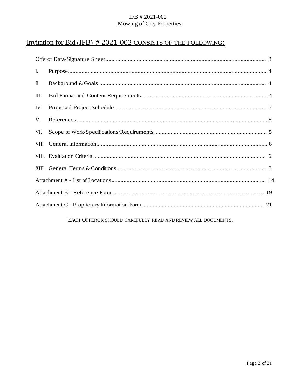# Invitation for Bid (IFB) #2021-002 CONSISTS OF THE FOLLOWING:

| Ι.   |  |  |
|------|--|--|
| П.   |  |  |
| Ш.   |  |  |
| IV.  |  |  |
| V.   |  |  |
| VI.  |  |  |
| VII. |  |  |
|      |  |  |
|      |  |  |
|      |  |  |
|      |  |  |
|      |  |  |

#### EACH OFFEROR SHOULD CAREFULLY READ AND REVIEW ALL DOCUMENTS.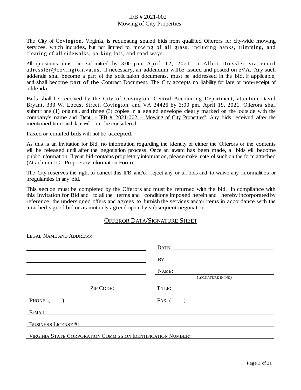The City of Covington, Virginia, is requesting sealed bids from qualified Offerors for city-wide mowing services, which includes, but not limited to, mowing of all grass, including banks, trimming, and clearing of all sidewalks, parking lots, and road ways.

All questions must be submitted by 3:00 p.m. April 12, 2021 to Allen Dressler via email adressler@covington.va.us. If necessary, an addendum will be issued and posted on eVA. Any such addenda shall become a part of the solicitation documents, must be addressed in the bid, if applicable, and shall become part of the Contract Document. The City accepts no liability for late or non-receipt of addenda.

Bids shall be received by the City of Covington, Central Accounting Department, attention David Bryant, 333 W. Locust Street, Covington, and VA 24426 by 3:00 pm. April 19, 2021. Offerors shall submit one (1) original, and three (3) copies in a sealed envelope clearly marked on the outside with the company's name and <u>Dept. - IFB # 2021-002 – Mowing of City Properties</u>". Any bids received after the mentioned time and date will not be considered.

Faxed or emailed bids will not be accepted.

As this is an Invitation for Bid, no information regarding the identity of either the Offerors or the contents will be released until after the negotiation process. Once an award has been made, all bids will become public information. If your bid contains proprietary information, please make note of such on the form attached (Attachment C - Proprietary Information Form).

The City reserves the right to cancel this IFB and/or reject any or all bids and to waive any informalities or irregularities in any bid.

This section must be completed by the Offerors and must be returned with the bid. In compliance with this Invitation for Bid and to all the terms and conditions imposed herein and hereby incorporated by reference, the undersigned offers and agrees to furnish the services and/or items in accordance with the attached signed bid or as mutually agreed upon by subsequent negotiation.

#### OFFEROR DATA/SIGNATURE SHEET

| ELOID I VAME AT DI IDDI DOO.                                 |                    |
|--------------------------------------------------------------|--------------------|
|                                                              | DATE:              |
|                                                              |                    |
|                                                              | BY:                |
|                                                              | NAME:              |
|                                                              | (SIGNATURE IN INK) |
| <b>ZIP CODE:</b>                                             | TITLE:             |
| PHONE: (                                                     | $FAX:$ (           |
| E-MAIL:                                                      |                    |
| <b>BUSINESS LICENSE#:</b>                                    |                    |
| VIRGINIA STATE CORPORATION COMMISSION IDENTIFICATION NUMBER: |                    |

LEGAL NAME AND ADDRESS: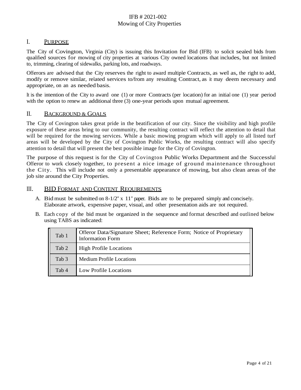#### I. PURPOSE

The City of Covington, Virginia (City) is issuing this Invitation for Bid (IFB) to solicit sealed bids from qualified sources for mowing of city properties at various City owned locations that includes, but not limited to, trimming, clearing of sidewalks, parking lots, and roadways.

Offerors are advised that the City reserves the right to award multiple Contracts, as well as, the right to add, modify or remove similar, related services to/from any resulting Contract, as it may deem necessary and appropriate, on an as needed basis.

It isthe intention of the City to award one (1) or more Contracts (per location) for an initial one (1) year period with the option to renew an additional three (3) one-year periods upon mutual agreement.

#### II. BACKGROUND & GOALS

The City of Covington takes great pride in the beatification of our city. Since the visibility and high profile exposure of these areas bring to our community, the resulting contract will reflect the attention to detail that will be required for the mowing services. While a basic mowing program which will apply to all listed turf areas will be developed by the City of Covington Public Works, the resulting contract will also specify attention to detail that will present the best possible image for the City of Covington.

The purpose of this request is for the City of Covington Public Works Department and the Successful Offeror to work closely together, to present a nice image of ground maintenance throughout the City. This will include not only a presentable appearance of mowing, but also clean areas of the job site around the City Properties.

#### III. BID FORMAT AND CONTENT REQUIREMENTS

- A. Bid must be submitted on  $8-1/2$ " x 11" paper. Bids are to be prepared simply and concisely. Elaborate artwork, expensive paper, visual, and other presentation aids are not required.
- B. Each copy of the bid must be organized in the sequence and format described and outlined below using TABS as indicated:

| Tab 1 | Offeror Data/Signature Sheet; Reference Form; Notice of Proprietary<br>Information Form |
|-------|-----------------------------------------------------------------------------------------|
| Tab 2 | <b>High Profile Locations</b>                                                           |
| Tab 3 | <b>Medium Profile Locations</b>                                                         |
| Tab 4 | <b>Low Profile Locations</b>                                                            |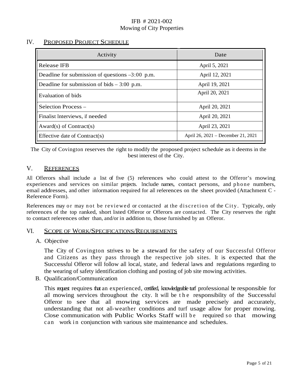#### IV. PROPOSED PROJECT SCHEDULE

| Activity                                          | Date                               |
|---------------------------------------------------|------------------------------------|
| Release IFB                                       | April 5, 2021                      |
| Deadline for submission of questions $-3:00$ p.m. | April 12, 2021                     |
| Deadline for submission of bids $-3:00$ p.m.      | April 19, 2021                     |
| Evaluation of bids                                | April 20, 2021                     |
| Selection Process -                               | April 20, 2021                     |
| Finalist Interviews, if needed                    | April 20, 2021                     |
| Award(s) of Contract(s)                           | April 23, 2021                     |
| Effective date of Contract(s)                     | April 26, 2021 – December 21, 2021 |

The City of Covington reserves the right to modify the proposed project schedule as it deems in the best interest of the City.

#### V. REFERENCES

All Offerors shall include a list of five (5) references who could attest to the Offeror's mowing experiences and services on similar projects. Include names, contact persons, and phone numbers, email addresses, and other information required for all references on the sheet provided (Attachment C - Reference Form).

References may or may not be reviewed or contacted at the discretion of the City. Typically, only references of the top ranked, short listed Offeror or Offerors are contacted. The City reserves the right to contact references other than, and/or in addition to, those furnished by an Offeror.

#### VI. SCOPE OF WORK/SPECIFICATIONS/REQUIREMENTS

#### A. Objective

The City of Covington strives to be a steward for the safety of our Successful Offeror and Citizens as they pass through the respective job sites. It is expected that the Successful Offeror will follow all local, state, and federal laws and regulations regarding to the wearing of safety identification clothing and posting of job site mowing activities.

B. Qualification/Communication

This request requires that an experienced, certified, knowledgeable turf professional be responsible for all mowing services throughout the city. It will be the responsibility of the Successful Offeror to see that all mowing services are made precisely and accurately, understanding that not all-weather conditions and turf usage allow for proper mowing. Close communication with Public Works Staff will be required so that mowing can work in conjunction with various site maintenance and schedules.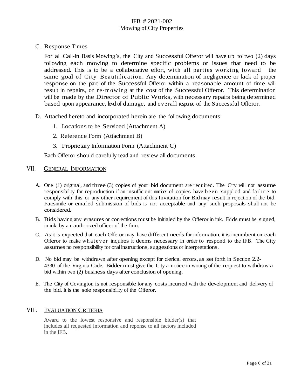C. Response Times

For all Call-In Basis Mowing's, the City and Successful Offeror will have up to two (2) days following each mowing to determine specific problems or issues that need to be addressed. This is to be a collaborative effort, with all parties working toward the same goal of City Beautification. Any determination of negligence or lack of proper response on the part of the Successful Offeror within a reasonable amount of time will result in repairs, or re-mowing at the cost of the Successful Offeror. This determination will be made by the Director of Public Works, with necessary repairs being determined based upon appearance, level of damage, and overall response of the Successful Offeror.

- D. Attached hereto and incorporated herein are the following documents:
	- 1. Locations to be Serviced (Attachment A)
	- 2. Reference Form (Attachment B)
	- 3. Proprietary Information Form (Attachment C)

Each Offeror should carefully read and review all documents.

#### VII. GENERAL INFORMATION

- A. One (1) original, and three (3) copies of your bid document are required. The City will not assume responsibility for reproduction if an insufficient number of copies have been supplied and failure to comply with this or any other requirement of this Invitation for Bid may result in rejection of the bid. Facsimile or emailed submission of bids is not acceptable and any such proposals shall not be considered.
- B. Bids having any erasures or corrections must be initialed by the Offeror in ink. Bids must be signed, in ink, by an authorized officer of the firm.
- C. As it is expected that each Offeror may have different needs for information, it is incumbent on each Offeror to make whatever inquires it deems necessary in order to respond to the IFB. The City assumes no responsibility for oral instructions, suggestions or interpretations.
- D. No bid may be withdrawn after opening except for clerical errors, as set forth in Section 2.2- 4330 of the Virginia Code. Bidder must give the City a notice in writing of the request to withdraw a bid within two (2) business days after conclusion of opening.
- E. The City of Covington is not responsible for any costs incurred with the development and delivery of the bid. It is the sole responsibility of the Offeror.

#### VIII. EVALUATION CRITERIA

Award to the lowest responsive and responsible bidder(s) that includes all requested information and reponse to all factors included in the IFB.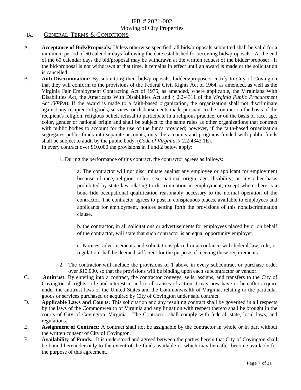#### Mowing of City Properties

#### IX. GENERAL TERMS & CONDITIONS

- A. **Acceptance of Bids/Proposals:** Unless otherwise specified, all bids/proposals submitted shall be valid for a minimum period of 60 calendar days following the date established for receiving bids/proposals. At the end of the 60 calendar days the bid/proposal may be withdrawn at the written request of the bidder/proposer. If the bid/proposal is not withdrawn at that time, it remains in effect until an award is made or the solicitation is cancelled.
- B. **Anti-Discrimination:** By submitting their bids/proposals, bidders/proposers certify to City of Covington that they will conform to the provisions of the Federal Civil Rights Act of 1964, as amended, as well as the Virginia Fair Employment Contracting Act of 1975, as amended, where applicable, the Virginians With Disabilities Act, the Americans With Disabilities Act and § 2.2-4311 of the *Virginia Public Procurement Act (VPPA).* If the award is made to a faith-based organization, the organization shall not discriminate against any recipient of goods, services, or disbursements made pursuant to the contract on the basis of the recipient's religion, religious belief, refusal to participate in a religious practice, or on the basis of race, age, color, gender or national origin and shall be subject to the same rules as other organizations that contract with public bodies to account for the use of the funds provided; however, if the faith-based organization segregates public funds into separate accounts, only the accounts and programs funded with public funds shall be subject to audit by the public body. (*Code of Virginia*, § 2.2-4343.1E). In every contract over \$10,000 the provisions in 1 and 2 below apply:
	- - 1. During the performance of this contract, the contractor agrees as follows:

a. The contractor will not discriminate against any employee or applicant for employment because of race, religion, color, sex, national origin, age, disability, or any other basis prohibited by state law relating to discrimination in employment, except where there is a bona fide occupational qualification reasonably necessary to the normal operation of the contractor. The contractor agrees to post in conspicuous places, available to employees and applicants for employment, notices setting forth the provisions of this nondiscrimination clause.

b. the contractor, in all solicitations or advertisements for employees placed by or on behalf of the contractor, will state that such contractor is an equal opportunity employer.

c. Notices, advertisements and solicitations placed in accordance with federal law, rule, or regulation shall be deemed sufficient for the purpose of meeting these requirements.

- 2. The contractor will include the provisions of 1 above in every subcontract or purchase order over \$10,000, so that the provisions will be binding upon each subcontractor or vendor.
- C. **Antitrust:** By entering into a contract, the contractor conveys, sells, assigns, and transfers to the City of Covington all rights, title and interest in and to all causes of action it may now have or hereafter acquire under the antitrust laws of the United States and the Commonwealth of Virginia, relating to the particular goods or services purchased or acquired by City of Covington under said contract.
- D. **Applicable Laws and Courts:** This solicitation and any resulting contract shall be governed in all respects by the laws of the Commonwealth of Virginia and any litigation with respect thereto shall be brought in the courts of City of Covington, Virginia. The Contractor shall comply with federal, state, local laws, and regulations.
- E. **Assignment of Contract:** A contract shall not be assignable by the contractor in whole or in part without the written consent of City of Covington.
- F. **Availability of Funds:** It is understood and agreed between the parties herein that City of Covington shall be bound hereunder only to the extent of the funds available or which may hereafter become available for the purpose of this agreement.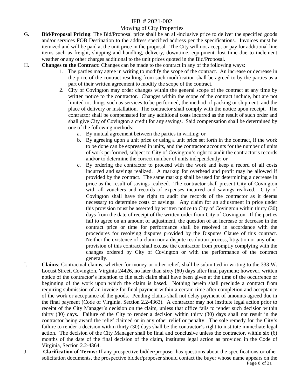#### Mowing of City Properties

- G. **Bid/Proposal Pricing**: The Bid/Proposal price shall be an all-inclusive price to deliver the specified goods and/or services FOB Destination to the address specified address per the specifications. Invoices must be itemized and will be paid at the unit price in the proposal. The City will not accept or pay for additional line items such as freight, shipping and handling, delivery, downtime, equipment, lost time due to inclement weather or any other charges additional to the unit prices quoted in the Bid/Proposal.
- H. **Changes to the Contract:** Changes can be made to the contract in any of the following ways:
	- 1. The parties may agree in writing to modify the scope of the contract. An increase or decrease in the price of the contract resulting from such modification shall be agreed to by the parties as a part of their written agreement to modify the scope of the contract.
	- 2. City of Covington may order changes within the general scope of the contract at any time by written notice to the contractor. Changes within the scope of the contract include, but are not limited to, things such as services to be performed, the method of packing or shipment, and the place of delivery or installation. The contractor shall comply with the notice upon receipt. The contractor shall be compensated for any additional costs incurred as the result of such order and shall give City of Covington a credit for any savings. Said compensation shall be determined by one of the following methods:
		- a. By mutual agreement between the parties in writing; or
		- b. By agreeing upon a unit price or using a unit price set forth in the contract, if the work to be done can be expressed in units, and the contractor accounts for the number of units of work performed, subject to City of Covington's right to audit the contractor's records and/or to determine the correct number of units independently; or
		- c. By ordering the contractor to proceed with the work and keep a record of all costs incurred and savings realized. A markup for overhead and profit may be allowed if provided by the contract. The same markup shall be used for determining a decrease in price as the result of savings realized. The contractor shall present City of Covington with all vouchers and records of expenses incurred and savings realized. City of Covington shall have the right to audit the records of the contractor as it deems necessary to determine costs or savings. Any claim for an adjustment in price under this provision must be asserted by written notice to City of Covington within thirty (30) days from the date of receipt of the written order from City of Covington. If the parties fail to agree on an amount of adjustment, the question of an increase or decrease in the contract price or time for performance shall be resolved in accordance with the procedures for resolving disputes provided by the Disputes Clause of this contract. Neither the existence of a claim nor a dispute resolution process, litigation or any other provision of this contract shall excuse the contractor from promptly complying with the changes ordered by City of Covington or with the performance of the contract generally.
- I. **Claims**: Contractual claims, whether for money or other relief, shall be submitted in writing to the 333 W. Locust Street, Covington, Virginia 24426, no later than sixty (60) days after final payment; however, written notice of the contractor's intention to file such claim shall have been given at the time of the occurrence or beginning of the work upon which the claim is based. Nothing herein shall preclude a contract from requiring submission of an invoice for final payment within a certain time after completion and acceptance of the work or acceptance of the goods. Pending claims shall not delay payment of amounts agreed due in the final payment (Code of Virginia, Section 2.2-4363). A contractor may not institute legal action prior to receipt of the City Manager's decision on the claim, unless that office fails to render such decision within thirty (30) days. Failure of the City to render a decision within thirty (30) days shall not result in the contractor being award the relief claimed or in any other relief or penalty. The sole remedy for the City's failure to render a decision within thirty (30) days shall be the contractor's right to institute immediate legal action. The decision of the City Manager shall be final and conclusive unless the contractor, within six (6) months of the date of the final decision of the claim, institutes legal action as provided in the Code of Virginia, Section 2.2-4364.
- J. **Clarification of Terms:** If any prospective bidder/proposer has questions about the specifications or other solicitation documents, the prospective bidder/proposer should contact the buyer whose name appears on the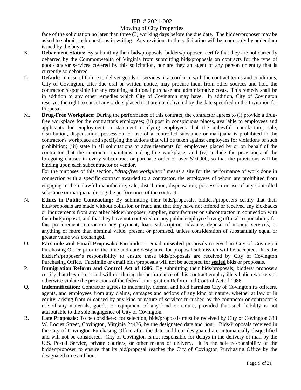#### Mowing of City Properties

face of the solicitation no later than three (3) working days before the due date. The bidder/proposer may be asked to submit such questions in writing. Any revisions to the solicitation will be made only by addendum issued by the buyer.

- K. **Debarment Status:** By submitting their bids/proposals, bidders/proposers certify that they are not currently debarred by the Commonwealth of Virginia from submitting bids/proposals on contracts for the type of goods and/or services covered by this solicitation, nor are they an agent of any person or entity that is currently so debarred.
- L. **Default:** In case of failure to deliver goods or services in accordance with the contract terms and conditions, City of Covington, after due oral or written notice, may procure them from other sources and hold the contractor responsible for any resulting additional purchase and administrative costs. This remedy shall be in addition to any other remedies which City of Covington may have. In addition, City of Covington reserves the right to cancel any orders placed that are not delivered by the date specified in the Invitation for Proposal.
- M. **Drug-Free Workplace:** During the performance of this contract, the contractor agrees to (i) provide a drugfree workplace for the contractor's employees; (ii) post in conspicuous places, available to employees and applicants for employment, a statement notifying employees that the unlawful manufacture, sale, distribution, dispensation, possession, or use of a controlled substance or marijuana is prohibited in the contractor's workplace and specifying the actions that will be taken against employees for violations of such prohibition; (iii) state in all solicitations or advertisements for employees placed by or on behalf of the contractor that the contractor maintains a drug-free workplace; and (iv) include the provisions of the foregoing clauses in every subcontract or purchase order of over \$10,000, so that the provisions will be binding upon each subcontractor or vendor.

For the purposes of this section, "*drug-free workplace"* means a site for the performance of work done in connection with a specific contract awarded to a contractor, the employees of whom are prohibited from engaging in the unlawful manufacture, sale, distribution, dispensation, possession or use of any controlled substance or marijuana during the performance of the contract.

- N. **Ethics in Public Contracting:** By submitting their bids/proposals, bidders/proposers certify that their bids/proposals are made without collusion or fraud and that they have not offered or received any kickbacks or inducements from any other bidder/proposer, supplier, manufacturer or subcontractor in connection with their bid/proposal, and that they have not conferred on any public employee having official responsibility for this procurement transaction any payment, loan, subscription, advance, deposit of money, services, or anything of more than nominal value, present or promised, unless consideration of substantially equal or greater value was exchanged.
- O. **Facsimile and Email Proposals:** Facsimile or email **unsealed** proposals received in City of Covington Purchasing Office prior to the time and date designated for proposal submission will be accepted. It is the bidder's/proposer's responsibility to ensure these bids/proposals are received by City of Covington Purchasing Office. Facsimile or email bids/proposals will not be accepted for **sealed** bids or proposals.
- P. **Immigration Reform and Control Act of 1986:** By submitting their bids/proposals, bidders/ proposers certify that they do not and will not during the performance of this contract employ illegal alien workers or otherwise violate the provisions of the federal Immigration Reform and Control Act of 1986.
- Q. **Indemnification:** Contractor agrees to indemnify, defend, and hold harmless City of Covington its officers, agents, and employees from any claims, damages and actions of any kind or nature, whether at law or in equity, arising from or caused by any kind or nature of services furnished by the contractor or contractor's use of any materials, goods, or equipment of any kind or nature, provided that such liability is not attributable to the sole negligence of City of Covington.
- R. **Late Proposals:** To be considered for selection, bids/proposals must be received by City of Covington 333 W. Locust Street, Covington, Virginia 24426, by the designated date and hour. Bids/Proposals received in the City of Covington Purchasing Office after the date and hour designated are automatically disqualified and will not be considered. City of Covington is not responsible for delays in the delivery of mail by the U.S. Postal Service, private couriers, or other means of delivery. It is the sole responsibility of the bidder/proposer to ensure that its bid/proposal reaches the City of Covington Purchasing Office by the designated time and hour.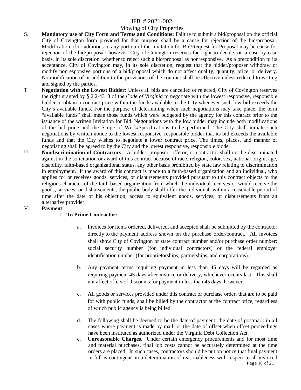#### Mowing of City Properties

- S. **Mandatory use of City Form and Terms and Conditions:** Failure to submit a bid/proposal on the official City of Covington form provided for that purpose shall be a cause for rejection of the bid/proposal. Modification of or additions to any portion of the Invitation for Bid/Request for Proposal may be cause for rejection of the bid/proposal; however, City of Covington reserves the right to decide, on a case by case basis, in its sole discretion, whether to reject such a bid/proposal as nonresponsive. As a precondition to its acceptance, City of Covington may, in its sole discretion, request that the bidder/proposer withdraw or modify nonresponsive portions of a bid/proposal which do not affect quality, quantity, price, or delivery. No modification of or addition to the provisions of the contract shall be effective unless reduced to writing and signed by the parties.
- T. **Negotiation with the Lowest Bidder:** Unless all bids are cancelled or rejected, City of Covington reserves the right granted by § 2.2-4318 of the *Code of Virginia* to negotiate with the lowest responsive, responsible bidder to obtain a contract price within the funds available to the City whenever such low bid exceeds the City's available funds. For the purpose of determining when such negotiations may take place, the term "available funds" shall mean those funds which were budgeted by the agency for this contract prior to the issuance of the written Invitation for Bid. Negotiations with the low bidder may include both modifications of the bid price and the Scope of Work/Specifications to be performed. The City shall initiate such negotiations by written notice to the lowest responsive, responsible bidder that its bid exceeds the available funds and that the City wishes to negotiate a lower contract price. The times, places, and manner of negotiating shall be agreed to by the City and the lowest responsive, responsible bidder.
- U. **Nondiscrimination of Contractors:** A bidder, proposer, offeror, or contractor shall not be discriminated against in the solicitation or award of this contract because of race, religion, color, sex, national origin, age, disability, faith-based organizational status, any other basis prohibited by state law relating to discrimination in employment. If the award of this contract is made to a faith-based organization and an individual, who applies for or receives goods, services, or disbursements provided pursuant to this contract objects to the religious character of the faith-based organization from which the individual receives or would receive the goods, services, or disbursements, the public body shall offer the individual, within a reasonable period of time after the date of his objection, access to equivalent goods, services, or disbursements from an alternative provider.

#### V. **Payment**:

#### 1. **To Prime Contractor:**

- a. Invoices for items ordered, delivered, and accepted shall be submitted by the contractor directly to the payment address shown on the purchase order/contract. All invoices shall show City of Covington or state contract number and/or purchase order number; social security number (for individual contractors) or the federal employer identification number (for proprietorships, partnerships, and corporations).
- b. Any payment terms requiring payment in less than 45 days will be regarded as requiring payment 45 days after invoice or delivery, whichever occurs last. This shall not affect offers of discounts for payment in less than 45 days, however.
- c. All goods or services provided under this contract or purchase order, that are to be paid for with public funds, shall be billed by the contractor at the contract price, regardless of which public agency is being billed.
- d. The following shall be deemed to be the date of payment: the date of postmark in all cases where payment is made by mail, or the date of offset when offset proceedings have been instituted as authorized under the Virginia Debt Collection Act.
- Page 10 of 21 e. **Unreasonable Charges**. Under certain emergency procurements and for most time and material purchases, final job costs cannot be accurately determined at the time orders are placed. In such cases, contractors should be put on notice that final payment in full is contingent on a determination of reasonableness with respect to all invoiced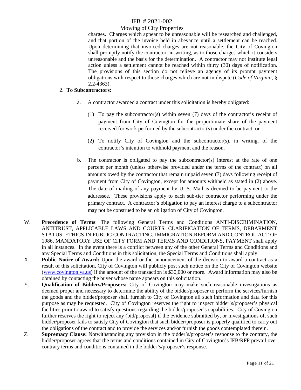#### Mowing of City Properties

charges. Charges which appear to be unreasonable will be researched and challenged, and that portion of the invoice held in abeyance until a settlement can be reached. Upon determining that invoiced charges are not reasonable, the City of Covington shall promptly notify the contractor, in writing, as to those charges which it considers unreasonable and the basis for the determination. A contractor may not institute legal action unless a settlement cannot be reached within thirty (30) days of notification. The provisions of this section do not relieve an agency of its prompt payment obligations with respect to those charges which are not in dispute (*Code of Virginia,* § 2.2-4363).

#### 2. **To Subcontractors:**

- a. A contractor awarded a contract under this solicitation is hereby obligated:
	- (1) To pay the subcontractor(s) within seven (7) days of the contractor's receipt of payment from City of Covington for the proportionate share of the payment received for work performed by the subcontractor(s) under the contract; or
	- (2) To notify City of Covington and the subcontractor(s), in writing, of the contractor's intention to withhold payment and the reason.
- b. The contractor is obligated to pay the subcontractor(s) interest at the rate of one percent per month (unless otherwise provided under the terms of the contract) on all amounts owed by the contractor that remain unpaid seven (7) days following receipt of payment from City of Covington, except for amounts withheld as stated in (2) above. The date of mailing of any payment by U. S. Mail is deemed to be payment to the addressee. These provisions apply to each sub-tier contractor performing under the primary contract. A contractor's obligation to pay an interest charge to a subcontractor may not be construed to be an obligation of City of Covington.
- W. **Precedence of Terms**: The following General Terms and Conditions ANTI-DISCRIMINATION, ANTITRUST, APPLICABLE LAWS AND COURTS, CLARIFICATION OF TERMS, DEBARMENT STATUS, ETHICS IN PUBLIC CONTRACTING, IMMIGRATION REFORM AND CONTROL ACT OF 1986, MANDATORY USE OF CITY FORM AND TERMS AND CONDITIONS, PAYMENT shall apply in all instances. In the event there is a conflict between any of the other General Terms and Conditions and any Special Terms and Conditions in this solicitation, the Special Terms and Conditions shall apply.
- X. **Public Notice of Award:** Upon the award or the announcement of the decision to award a contract as a result of this solicitation, City of Covington will publicly post such notice on the City of Covington website [\(www.covington.va.us\)](http://www.covington.va.us/) if the amount of the transaction is \$30,000 or more. Award information may also be obtained by contacting the buyer whose name appears on this solicitation.
- Y. **Qualification of Bidders/Proposers:** City of Covington may make such reasonable investigations as deemed proper and necessary to determine the ability of the bidder/proposer to perform the services/furnish the goods and the bidder/proposer shall furnish to City of Covington all such information and data for this purpose as may be requested. City of Covington reserves the right to inspect bidder's/proposer's physical facilities prior to award to satisfy questions regarding the bidder/proposer's capabilities. City of Covington further reserves the right to reject any (bid/proposal) if the evidence submitted by, or investigations of, such bidder/proposer fails to satisfy City of Covington that such bidder/proposer is properly qualified to carry out the obligations of the contract and to provide the services and/or furnish the goods contemplated therein.
- Z. **Supremacy Clause:** Notwithstanding any provision in the bidder's/proposer's response to the contrary, the bidder/proposer agrees that the terms and conditions contained in City of Covington's IFB/RFP prevail over contrary terms and conditions contained in the bidder's/proposer's response.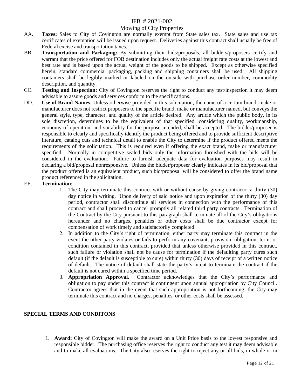#### Mowing of City Properties

- AA. **Taxes:** Sales to City of Covington are normally exempt from State sales tax. State sales and use tax certificates of exemption will be issued upon request. Deliveries against this contract shall usually be free of Federal excise and transportation taxes.
- BB. **Transportation and Packaging:** By submitting their bids/proposals, all bidders/proposers certify and warrant that the price offered for FOB destination includes only the actual freight rate costs at the lowest and best rate and is based upon the actual weight of the goods to be shipped. Except as otherwise specified herein, standard commercial packaging, packing and shipping containers shall be used. All shipping containers shall be legibly marked or labeled on the outside with purchase order number, commodity description, and quantity.
- CC. **Testing and Inspection:** City of Covington reserves the right to conduct any test/inspection it may deem advisable to assure goods and services conform to the specifications.
- DD. **Use of Brand Names**: Unless otherwise provided in this solicitation, the name of a certain brand, make or manufacturer does not restrict proposers to the specific brand, make or manufacturer named, but conveys the general style, type, character, and quality of the article desired. Any article which the public body, in its sole discretion, determines to be the equivalent of that specified, considering quality, workmanship, economy of operation, and suitability for the purpose intended, shall be accepted. The bidder/proposer is responsible to clearly and specifically identify the product being offered and to provide sufficient descriptive literature, catalog cuts and technical detail to enable the City to determine if the product offered meets the requirements of the solicitation. This is required even if offering the exact brand, make or manufacturer specified. Normally in competitive sealed bids only the information furnished with the bids will be considered in the evaluation. Failure to furnish adequate data for evaluation purposes may result in declaring a bid/proposal nonresponsive. Unless the bidder/proposer clearly indicates in its bid/proposal that the product offered is an equivalent product, such bid/proposal will be considered to offer the brand name product referenced in the solicitation.

#### EE. **Termination**:

- 1. The City may terminate this contract with or without cause by giving contractor a thirty (30) day notice in writing. Upon delivery of said notice and upon expiration of the thirty (30) day period, contractor shall discontinue all services in connection with the performance of this contract and shall proceed to cancel promptly all related third party contracts. Termination of the Contract by the City pursuant to this paragraph shall terminate all of the City's obligations hereunder and no charges, penalties or other costs shall be due contractor except for compensation of work timely and satisfactorily completed.
- 2. In addition to the City's right of termination, either party may terminate this contract in the event the other party violates or fails to perform any covenant, provision, obligation, term, or condition contained in this contract, provided that unless otherwise provided in this contract, such failure or violation shall not be cause for termination if the defaulting party cures such default (if the default is susceptible to cure) within thirty (30) days of receipt of a written notice of default. The notice of default shall state the party's intent to terminate the contract if the default is not cured within a specified time period.
- 3. **Appropriation Approval**. Contractor acknowledges that the City's performance and obligation to pay under this contract is contingent upon annual appropriation by City Council. Contractor agrees that in the event that such appropriation is not forthcoming, the City may terminate this contract and no charges, penalties, or other costs shall be assessed.

#### **SPECIAL TERMS AND CONDITONS**

1. **Award:** City of Covington will make the award on a Unit Price basis to the lowest responsive and responsible bidder. The purchasing office reserves the right to conduct any test it may deem advisable and to make all evaluations. The City also reserves the right to reject any or all bids, in whole or in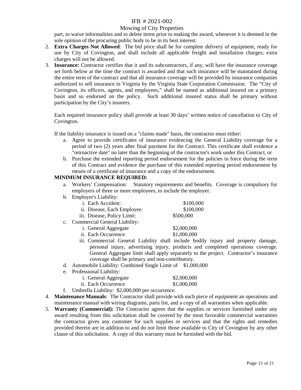#### Mowing of City Properties

part, to waive informalities and to delete items prior to making the award, whenever it is deemed in the sole opinion of the procuring public body to be in its best interest.

- 2. **Extra Charges Not Allowed**: The bid price shall be for complete delivery of equipment, ready for use by City of Covington, and shall include all applicable freight and installation charges; extra charges will not be allowed.
- 3. **Insurance:** Contractor certifies that it and its subcontractors, if any, will have the insurance coverage set forth below at the time the contract is awarded and that such insurance will be maintained during the entire term of the contract and that all insurance coverage will be provided by insurance companies authorized to sell insurance in Virginia by the Virginia State Corporation Commission. The "City of Covington, its officers, agents, and employees," shall be named as additional insured on a primary basis and so endorsed on the policy. Such additional insured status shall be primary without participation by the City's insurers.

Each required insurance policy shall provide at least 30 days' written notice of cancellation to City of Covington.

If the liability insurance is issued on a "claims made" basis, the contractor must either:

- a. Agree to provide certificates of insurance evidencing the General Liability coverage for a period of two (2) years after final payment for the Contract. This certificate shall evidence a "retroactive date" no later than the beginning of the contractor's work under this Contract, or
- b. Purchase the extended reporting period endorsement for the policies in force during the term of this Contract and evidence the purchase of this extended reporting period endorsement by means of a certificate of insurance and a copy of the endorsement.

#### **MINIMUM INSURANCE REQUIRED:**

- a. Workers' Compensation: Statutory requirements and benefits. Coverage is compulsory for employers of three or more employees, to include the employer.
- b. Employer's Liability:

|             | i. Each Accident:                                     | \$100,000   |
|-------------|-------------------------------------------------------|-------------|
|             | ii. Disease, Each Employee:                           | \$100,000   |
|             | iii. Disease, Policy Limit:                           | \$500,000   |
| $c_{\cdot}$ | Commercial General Liability:                         |             |
|             | i. General Aggregate                                  | \$2,000,000 |
|             | ii. Each Occurrence                                   | \$1,000,000 |
|             | iii Commercial General Liability shall include bodily |             |

- iii. Commercial General Liability shall include bodily injury and property damage, personal injury, advertising injury, products and completed operations coverage. General Aggregate limit shall apply separately to the project. Contractor's insurance coverage shall be primary and non-contributory.
- d. Automobile Liability: Combined Single Limit of \$1,000,000
- e. Professional Liability:

| <i>i.</i> General Aggregate | \$2,000,000 |
|-----------------------------|-------------|
| ii. Each Occurrence         | \$1,000,000 |

- f. Umbrella Liability: \$2,000,000 per occurrence.
- 4. **Maintenance Manuals**: The Contractor shall provide with each piece of equipment an operations and maintenance manual with wiring diagrams, parts list, and a copy of all warranties when applicable.
- 5. **Warranty (Commercial):** The Contractor agrees that the supplies or services furnished under any award resulting from this solicitation shall be covered by the most favorable commercial warranties the contractor gives any customer for such supplies or services and that the rights and remedies provided therein are in addition to and do not limit those available to City of Covington by any other clause of this solicitation. A copy of this warranty must be furnished with the bid.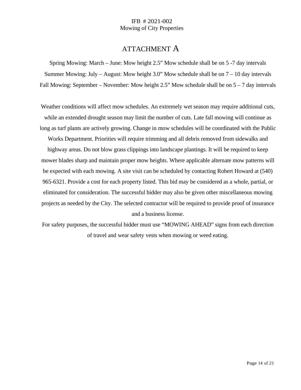### ATTACHMENT A

Spring Mowing: March – June: Mow height 2.5" Mow schedule shall be on 5 -7 day intervals Summer Mowing: July – August: Mow height 3.0" Mow schedule shall be on 7 – 10 day intervals Fall Mowing: September – November: Mow height 2.5" Mow schedule shall be on  $5 - 7$  day intervals

Weather conditions will affect mow schedules. An extremely wet season may require additional cuts, while an extended drought season may limit the number of cuts. Late fall mowing will continue as long as turf plants are actively growing. Change in mow schedules will be coordinated with the Public Works Department. Priorities will require trimming and all debris removed from sidewalks and highway areas. Do not blow grass clippings into landscape plantings. It will be required to keep mower blades sharp and maintain proper mow heights. Where applicable alternate mow patterns will be expected with each mowing. A site visit can be scheduled by contacting Robert Howard at (540) 965-6321. Provide a cost for each property listed. This bid may be considered as a whole, partial, or eliminated for consideration. The successful bidder may also be given other miscellaneous mowing projects as needed by the City. The selected contractor will be required to provide proof of insurance

and a business license.

For safety purposes, the successful bidder must use "MOWING AHEAD" signs from each direction of travel and wear safety vests when mowing or weed eating.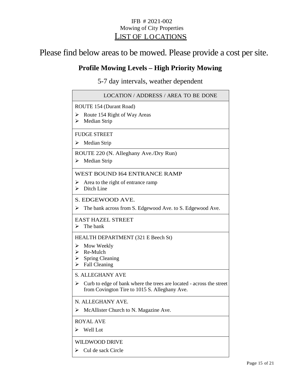### IFB # 2021-002 Mowing of City Properties LIST OF LOCATIONS

# Please find below areas to be mowed. Please provide a cost per site.

## **Profile Mowing Levels – High Priority Mowing**

5-7 day intervals, weather dependent

| LOCATION / ADDRESS / AREA TO BE DONE                                                                                                                       |
|------------------------------------------------------------------------------------------------------------------------------------------------------------|
| ROUTE 154 (Durant Road)<br>Route 154 Right of Way Areas<br>➤<br>Median Strip<br>⋗                                                                          |
| <b>FUDGE STREET</b><br>Median Strip<br>⋗                                                                                                                   |
| ROUTE 220 (N. Alleghany Ave./Dry Run)<br>Median Strip<br>➤                                                                                                 |
| WEST BOUND I64 ENTRANCE RAMP<br>Area to the right of entrance ramp<br>⋗<br>Ditch Line<br>⋗                                                                 |
| S. EDGEWOOD AVE.<br>The bank across from S. Edgewood Ave. to S. Edgewood Ave.<br>⋗                                                                         |
| <b>EAST HAZEL STREET</b><br>The bank<br>➤                                                                                                                  |
| HEALTH DEPARTMENT (321 E Beech St)<br>$\triangleright$ Mow Weekly<br>$\triangleright$ Re-Mulch<br><b>Spring Cleaning</b><br>➤<br><b>Fall Cleaning</b><br>➤ |
| <b>S. ALLEGHANY AVE</b><br>Curb to edge of bank where the trees are located - across the street<br>⋗<br>from Covington Tire to 1015 S. Alleghany Ave.      |
| N. ALLEGHANY AVE.<br>$\triangleright$ McAllister Church to N. Magazine Ave.                                                                                |
| <b>ROYAL AVE</b><br>Well Lot<br>⋗                                                                                                                          |
| <b>WILDWOOD DRIVE</b><br>Cul de sack Circle<br>⋗                                                                                                           |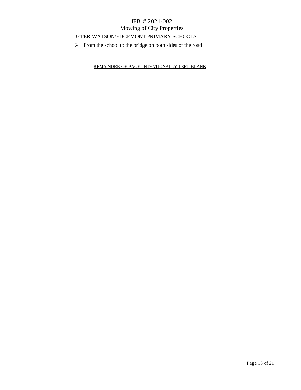### JETER-WATSON/EDGEMONT PRIMARY SCHOOLS

 $\triangleright$  From the school to the bridge on both sides of the road

REMAINDER OF PAGE INTENTIONALLY LEFT BLANK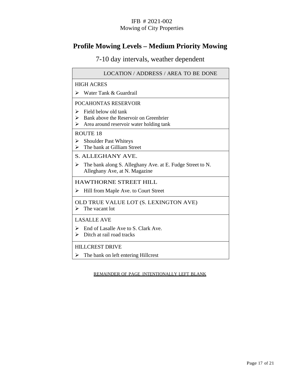# **Profile Mowing Levels – Medium Priority Mowing**

7-10 day intervals, weather dependent

| <b>LOCATION / ADDRESS / AREA TO BE DONE</b>                                                                                           |  |
|---------------------------------------------------------------------------------------------------------------------------------------|--|
| <b>HIGH ACRES</b>                                                                                                                     |  |
| Water Tank & Guardrail<br>⋗                                                                                                           |  |
| POCAHONTAS RESERVOIR                                                                                                                  |  |
| Field below old tank<br>⋗<br>$\triangleright$ Bank above the Reservoir on Greenbrier<br>Area around reservoir water holding tank<br>➤ |  |
| <b>ROUTE 18</b>                                                                                                                       |  |
| <b>Shoulder Past Whiteys</b><br>➤<br>The bank at Gilliam Street<br>↘                                                                  |  |
| S. ALLEGHANY AVE.                                                                                                                     |  |
| The bank along S. Alleghany Ave. at E. Fudge Street to N.<br>⋗<br>Alleghany Ave, at N. Magazine                                       |  |
| <b>HAWTHORNE STREET HILL</b>                                                                                                          |  |
| Hill from Maple Ave. to Court Street<br>⋗                                                                                             |  |
| OLD TRUE VALUE LOT (S. LEXINGTON AVE)<br>The vacant lot<br>⋗                                                                          |  |
| <b>LASALLE AVE</b>                                                                                                                    |  |
| $\triangleright$ End of Lasalle Ave to S. Clark Ave.<br>Ditch at rail road tracks<br>≻                                                |  |
| <b>HILLCREST DRIVE</b>                                                                                                                |  |
| The bank on left entering Hillcrest                                                                                                   |  |

REMAINDER OF PAGE INTENTIONALLY LEFT BLANK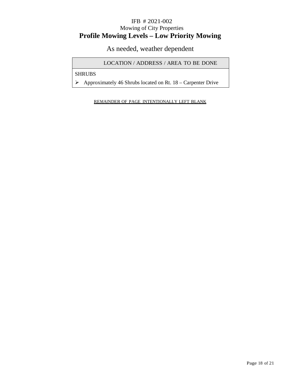### IFB # 2021-002 Mowing of City Properties **Profile Mowing Levels – Low Priority Mowing**

As needed, weather dependent

LOCATION / ADDRESS / AREA TO BE DONE

SHRUBS

 $\triangleright$  Approximately 46 Shrubs located on Rt. 18 – Carpenter Drive

REMAINDER OF PAGE INTENTIONALLY LEFT BLANK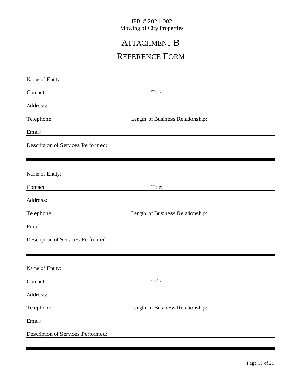# ATTACHMENT B

# REFERENCE FORM

| Name of Entity:                    |                                  |
|------------------------------------|----------------------------------|
| Contact:                           | Title:                           |
| Address:                           |                                  |
| Telephone:                         | Length of Business Relationship: |
| Email:                             |                                  |
| Description of Services Performed: |                                  |
|                                    |                                  |
| Name of Entity:                    |                                  |
| Contact:                           | Title:                           |
| Address:                           |                                  |
| Telephone:                         | Length of Business Relationship: |
| Email:                             |                                  |
| Description of Services Performed: |                                  |
|                                    |                                  |
| Name of Entity:                    |                                  |
| Contact:                           | Title:                           |
| Address:                           |                                  |
| Telephone:                         | Length of Business Relationship: |
| Email:                             |                                  |
| Description of Services Performed: |                                  |
|                                    |                                  |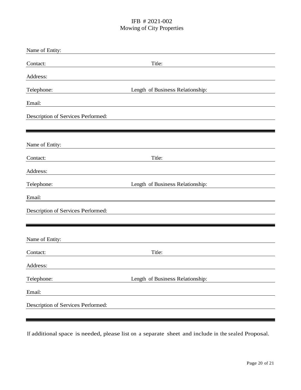| Name of Entity:                    |                                  |  |
|------------------------------------|----------------------------------|--|
| Contact:                           | Title:                           |  |
| Address:                           |                                  |  |
| Telephone:                         | Length of Business Relationship: |  |
| Email:                             |                                  |  |
| Description of Services Performed: |                                  |  |
|                                    |                                  |  |
| Name of Entity:                    |                                  |  |
| Contact:                           | Title:                           |  |
| Address:                           |                                  |  |
| Telephone:                         | Length of Business Relationship: |  |
| Email:                             |                                  |  |
| Description of Services Performed: |                                  |  |
|                                    |                                  |  |
| Name of Entity:                    |                                  |  |
| Contact:                           | Title:                           |  |
| Address:                           |                                  |  |
| Telephone:                         | Length of Business Relationship: |  |
| Email:                             |                                  |  |
| Description of Services Performed: |                                  |  |
|                                    |                                  |  |

If additional space is needed, please list on a separate sheet and include in the sealed Proposal.